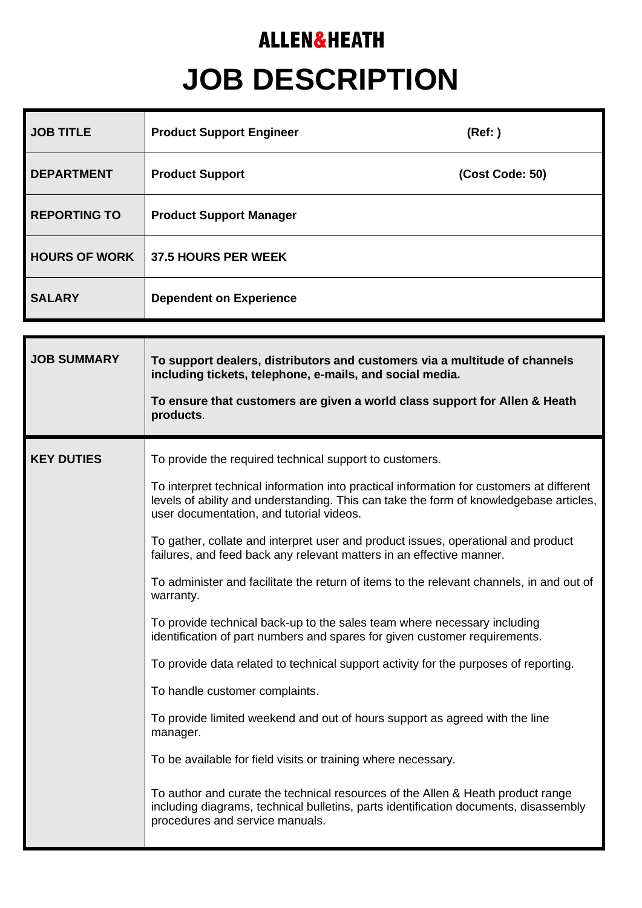## **ALLEN&HEATH JOB DESCRIPTION**

| <b>JOB TITLE</b>     | <b>Product Support Engineer</b> | (Ref: )         |
|----------------------|---------------------------------|-----------------|
| <b>DEPARTMENT</b>    | <b>Product Support</b>          | (Cost Code: 50) |
| <b>REPORTING TO</b>  | <b>Product Support Manager</b>  |                 |
| <b>HOURS OF WORK</b> | 37.5 HOURS PER WEEK             |                 |
| <b>SALARY</b>        | <b>Dependent on Experience</b>  |                 |

| <b>JOB SUMMARY</b> | To support dealers, distributors and customers via a multitude of channels<br>including tickets, telephone, e-mails, and social media.<br>To ensure that customers are given a world class support for Allen & Heath<br>products.                                                                                                                                                                                                                                                                                                                                                                                                                                                                                                                                                                                                                                                                                                                                                                                                                                                                                                                                                          |  |
|--------------------|--------------------------------------------------------------------------------------------------------------------------------------------------------------------------------------------------------------------------------------------------------------------------------------------------------------------------------------------------------------------------------------------------------------------------------------------------------------------------------------------------------------------------------------------------------------------------------------------------------------------------------------------------------------------------------------------------------------------------------------------------------------------------------------------------------------------------------------------------------------------------------------------------------------------------------------------------------------------------------------------------------------------------------------------------------------------------------------------------------------------------------------------------------------------------------------------|--|
| <b>KEY DUTIES</b>  | To provide the required technical support to customers.<br>To interpret technical information into practical information for customers at different<br>levels of ability and understanding. This can take the form of knowledgebase articles,<br>user documentation, and tutorial videos.<br>To gather, collate and interpret user and product issues, operational and product<br>failures, and feed back any relevant matters in an effective manner.<br>To administer and facilitate the return of items to the relevant channels, in and out of<br>warranty.<br>To provide technical back-up to the sales team where necessary including<br>identification of part numbers and spares for given customer requirements.<br>To provide data related to technical support activity for the purposes of reporting.<br>To handle customer complaints.<br>To provide limited weekend and out of hours support as agreed with the line<br>manager.<br>To be available for field visits or training where necessary.<br>To author and curate the technical resources of the Allen & Heath product range<br>including diagrams, technical bulletins, parts identification documents, disassembly |  |
|                    | procedures and service manuals.                                                                                                                                                                                                                                                                                                                                                                                                                                                                                                                                                                                                                                                                                                                                                                                                                                                                                                                                                                                                                                                                                                                                                            |  |